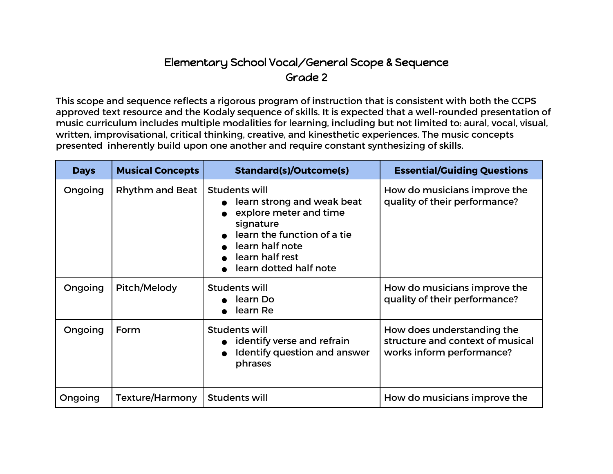## Elementary School Vocal/General Scope & Sequence Grade 2

This scope and sequence reflects a rigorous program of instruction that is consistent with both the CCPS approved text resource and the Kodaly sequence of skills. It is expected that a well-rounded presentation of music curriculum includes multiple modalities for learning, including but not limited to: aural, vocal, visual, written, improvisational, critical thinking, creative, and kinesthetic experiences. The music concepts presented inherently build upon one another and require constant synthesizing of skills.

| <b>Days</b> | <b>Musical Concepts</b> | <b>Standard(s)/Outcome(s)</b>                                                                                                                                                     | <b>Essential/Guiding Questions</b>                                                          |
|-------------|-------------------------|-----------------------------------------------------------------------------------------------------------------------------------------------------------------------------------|---------------------------------------------------------------------------------------------|
| Ongoing     | <b>Rhythm and Beat</b>  | Students will<br>learn strong and weak beat<br>explore meter and time<br>signature<br>learn the function of a tie<br>learn half note<br>learn half rest<br>learn dotted half note | How do musicians improve the<br>quality of their performance?                               |
| Ongoing     | Pitch/Melody            | Students will<br>learn Do<br>learn Re                                                                                                                                             | How do musicians improve the<br>quality of their performance?                               |
| Ongoing     | Form                    | Students will<br>identify verse and refrain<br>Identify question and answer<br>phrases                                                                                            | How does understanding the<br>structure and context of musical<br>works inform performance? |
| Ongoing     | Texture/Harmony         | Students will                                                                                                                                                                     | How do musicians improve the                                                                |